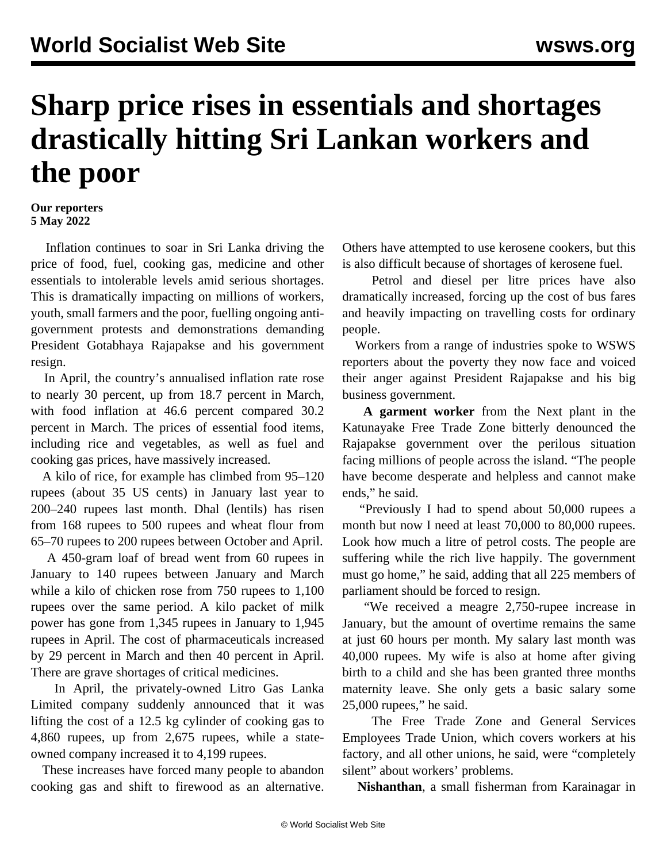## **Sharp price rises in essentials and shortages drastically hitting Sri Lankan workers and the poor**

## **Our reporters 5 May 2022**

 Inflation continues to soar in Sri Lanka driving the price of food, fuel, cooking gas, medicine and other essentials to intolerable levels amid serious shortages. This is dramatically impacting on millions of workers, youth, small farmers and the poor, fuelling ongoing antigovernment protests and demonstrations demanding President Gotabhaya Rajapakse and his government resign.

 In April, the country's annualised inflation rate rose to nearly 30 percent, up from 18.7 percent in March, with food inflation at 46.6 percent compared 30.2 percent in March. The prices of essential food items, including rice and vegetables, as well as fuel and cooking gas prices, have massively increased.

 A kilo of rice, for example has climbed from 95–120 rupees (about 35 US cents) in January last year to 200–240 rupees last month. Dhal (lentils) has risen from 168 rupees to 500 rupees and wheat flour from 65–70 rupees to 200 rupees between October and April.

 A 450-gram loaf of bread went from 60 rupees in January to 140 rupees between January and March while a kilo of chicken rose from 750 rupees to 1,100 rupees over the same period. A kilo packet of milk power has gone from 1,345 rupees in January to 1,945 rupees in April. The cost of pharmaceuticals increased by 29 percent in March and then 40 percent in April. There are grave shortages of critical medicines.

 In April, the privately-owned Litro Gas Lanka Limited company suddenly announced that it was lifting the cost of a 12.5 kg cylinder of cooking gas to 4,860 rupees, up from 2,675 rupees, while a stateowned company increased it to 4,199 rupees.

 These increases have forced many people to abandon cooking gas and shift to firewood as an alternative.

Others have attempted to use kerosene cookers, but this is also difficult because of shortages of kerosene fuel.

 Petrol and diesel per litre prices have also dramatically increased, forcing up the cost of bus fares and heavily impacting on travelling costs for ordinary people.

 Workers from a range of industries spoke to WSWS reporters about the poverty they now face and voiced their anger against President Rajapakse and his big business government.

 **A garment worker** from the Next plant in the Katunayake Free Trade Zone bitterly denounced the Rajapakse government over the perilous situation facing millions of people across the island. "The people have become desperate and helpless and cannot make ends," he said.

 "Previously I had to spend about 50,000 rupees a month but now I need at least 70,000 to 80,000 rupees. Look how much a litre of petrol costs. The people are suffering while the rich live happily. The government must go home," he said, adding that all 225 members of parliament should be forced to resign.

 "We received a meagre 2,750-rupee increase in January, but the amount of overtime remains the same at just 60 hours per month. My salary last month was 40,000 rupees. My wife is also at home after giving birth to a child and she has been granted three months maternity leave. She only gets a basic salary some 25,000 rupees," he said.

 The Free Trade Zone and General Services Employees Trade Union, which covers workers at his factory, and all other unions, he said, were "completely silent" about workers' problems.

**Nishanthan**, a small fisherman from Karainagar in